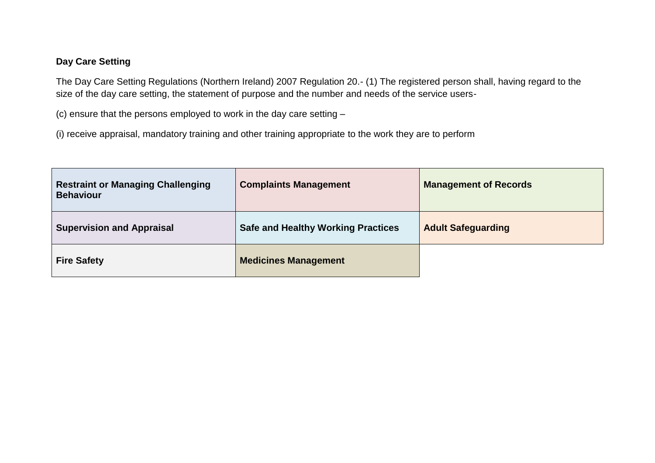## **Day Care Setting**

The Day Care Setting Regulations (Northern Ireland) 2007 Regulation 20.- (1) The registered person shall, having regard to the size of the day care setting, the statement of purpose and the number and needs of the service users-

(c) ensure that the persons employed to work in the day care setting –

(i) receive appraisal, mandatory training and other training appropriate to the work they are to perform

| <b>Restraint or Managing Challenging</b><br><b>Behaviour</b> | <b>Complaints Management</b>              | <b>Management of Records</b> |
|--------------------------------------------------------------|-------------------------------------------|------------------------------|
| <b>Supervision and Appraisal</b>                             | <b>Safe and Healthy Working Practices</b> | <b>Adult Safeguarding</b>    |
| <b>Fire Safety</b>                                           | <b>Medicines Management</b>               |                              |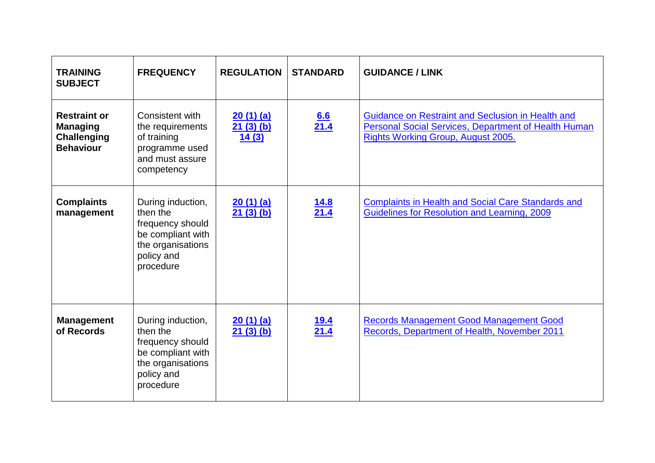<span id="page-1-1"></span><span id="page-1-0"></span>

| <b>TRAINING</b><br><b>SUBJECT</b>                                                | <b>FREQUENCY</b>                                                                                                       | <b>REGULATION</b>             | <b>STANDARD</b>     | <b>GUIDANCE / LINK</b>                                                                                                                                        |
|----------------------------------------------------------------------------------|------------------------------------------------------------------------------------------------------------------------|-------------------------------|---------------------|---------------------------------------------------------------------------------------------------------------------------------------------------------------|
| <b>Restraint or</b><br><b>Managing</b><br><b>Challenging</b><br><b>Behaviour</b> | Consistent with<br>the requirements<br>of training<br>programme used<br>and must assure<br>competency                  | 20(1)(a)<br>21(3)(b)<br>14(3) | $\frac{6.6}{21.4}$  | Guidance on Restraint and Seclusion in Health and<br><b>Personal Social Services, Department of Health Human</b><br><b>Rights Working Group, August 2005.</b> |
| <b>Complaints</b><br>management                                                  | During induction,<br>then the<br>frequency should<br>be compliant with<br>the organisations<br>policy and<br>procedure | 20(1)(a)<br>21(3)(b)          | $\frac{14.8}{21.4}$ | <b>Complaints in Health and Social Care Standards and</b><br>Guidelines for Resolution and Learning, 2009                                                     |
| <b>Management</b><br>of Records                                                  | During induction,<br>then the<br>frequency should<br>be compliant with<br>the organisations<br>policy and<br>procedure | 20(1)(a)<br>21(3)(b)          | $\frac{19.4}{21.4}$ | <b>Records Management Good Management Good</b><br>Records, Department of Health, November 2011                                                                |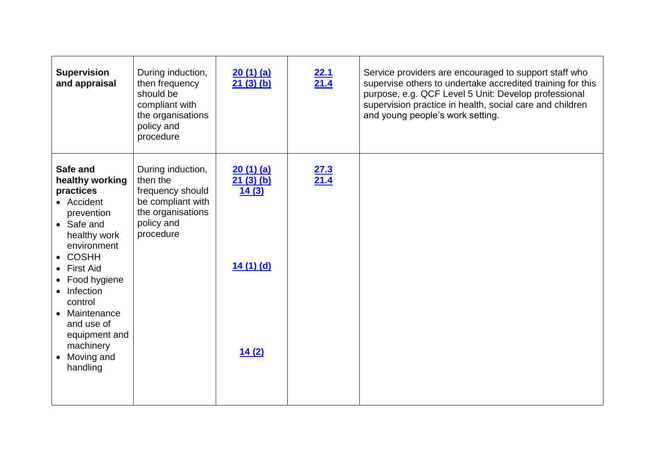<span id="page-2-1"></span><span id="page-2-0"></span>

| <b>Supervision</b><br>and appraisal                                                                                                                                                                                                                                                      | During induction,<br>then frequency<br>should be<br>compliant with<br>the organisations<br>policy and<br>procedure     | 20(1)(a)<br>21(3)(b)                               | $\frac{22.1}{21.4}$ | Service providers are encouraged to support staff who<br>supervise others to undertake accredited training for this<br>purpose, e.g. QCF Level 5 Unit: Develop professional<br>supervision practice in health, social care and children<br>and young people's work setting. |
|------------------------------------------------------------------------------------------------------------------------------------------------------------------------------------------------------------------------------------------------------------------------------------------|------------------------------------------------------------------------------------------------------------------------|----------------------------------------------------|---------------------|-----------------------------------------------------------------------------------------------------------------------------------------------------------------------------------------------------------------------------------------------------------------------------|
| Safe and<br>healthy working<br>practices<br>• Accident<br>prevention<br>• Safe and<br>healthy work<br>environment<br>$\bullet$ COSHH<br>• First Aid<br>• Food hygiene<br>• Infection<br>control<br>• Maintenance<br>and use of<br>equipment and<br>machinery<br>• Moving and<br>handling | During induction,<br>then the<br>frequency should<br>be compliant with<br>the organisations<br>policy and<br>procedure | 20(1)(a)<br>21(3)(b)<br>14(3)<br>14(1)(d)<br>14(2) | $\frac{27.3}{21.4}$ |                                                                                                                                                                                                                                                                             |